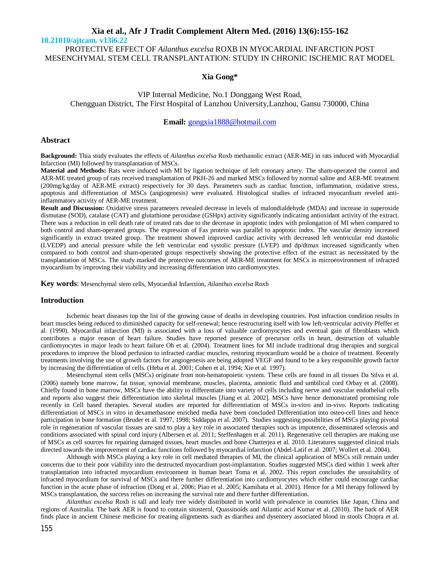**10.21010/ajtcam. v13i6.22**

PROTECTIVE EFFECT OF *Ailanthus excelsa* ROXB IN MYOCARDIAL INFARCTION POST MESENCHYMAL STEM CELL TRANSPLANTATION: STUDY IN CHRONIC ISCHEMIC RAT MODEL

# **Xia Gong\***

VIP Internal Medicine, No.1 Donggang West Road, Chengguan District, The First Hospital of Lanzhou University,Lanzhou, Gansu 730000, China

## **Email:** gongxia1888@hotmail.com

#### **Abstract**

**Background:** Thia study evaluates the effects of *Ailanthus excelsa* Roxb methanolic extract (AER-ME) in rats induced with Myocardial Infarction (MI) followed by transplantation of MSCs.

**Material and Methods:** Rats were induced with MI by ligation technique of left coronary artery. The sham-operated the control and AER-ME treated group of rats received transplantation of PKH-26 and marked MSCs followed by normal saline and AER-ME treatment (200mg/kg/day of AER-ME extract) respectively for 30 days. Parameters such as cardiac function, inflammation, oxidative stress, apoptosis and differentiation of MSCs (angiogenesis) were evaluated. Histological studies of infracted myocardium reveled antiinflammatory activity of AER-ME treatment.

**Result and Discussion:** Oxidative stress parameters revealed decrease in levels of malondialdehyde (MDA) and increase in superoxide dismutase (SOD), catalase (CAT) and glutathione peroxidase (GSHpx) activity significantly indicating antioxidant activity of the extract. There was a reduction in cell death rate of treated rats due to the decrease in apoptotic index with prolongation of MI when compared to both control and sham-operated groups. The expression of Fas protein was parallel to apoptotic index. The vascular density increased significantly in extract treated group. The treatment showed improved cardiac activity with decreased left ventricular end diastolic (LVEDP) and arterial pressure while the left ventricular end systolic pressure (LVEP) and dp/dtmax increased significantly when compared to both control and sham-operated groups respectively showing the protective effect of the extract as necessitated by the transplantation of MSCs. The study marked the protective outcomes of AER-ME treatment for MSCs in microenvironment of infracted myocardium by improving their viability and increasing differentiation into cardiomyocytes.

**Key words**: Mesenchymal stem cells, Myocardial Infarction, *Ailanthus excelsa* Roxb

## **Introduction**

Ischemic heart diseases top the list of the growing cause of deaths in developing countries. Post infraction condition results in heart muscles being reduced to diminished capacity for self-renewal; hence restructuring itself with low left-ventricular activity Pfeffer et al. (1990). Myocardial infarction (MI) is associated with a loss of valuable cardiomyocytes and eventual gain of fibroblasts which contributes a major reason of heart failure. Studies have reported presence of precursor cells in heart, destruction of valuable cardiomyocytes in major leads to heart failure Oh et al. (2004). Treatment lines for MI include traditional drug therapies and surgical procedures to improve the blood perfusion to infracted cardiac muscles, restoring myocardium would be a choice of treatment. Recently treatments involving the use of growth factors for angiogenesis are being adopted VEGF and found to be a key responsible growth factor by increasing the differentiation of cells. (Heba et al. 2001; Cohen et al. 1994; Xie et al. 1997).

Mesenchymal stem cells (MSCs) originate from non-hematopoietic system. These cells are found in all tissues Da Silva et al. (2006) namely bone marrow, fat tissue, synovial membrane, muscles, placenta, amniotic fluid and umbilical cord Orbay et al. (2008). Chiefly found in bone marrow, MSCs have the ability to differentiate into variety of cells including nerve and vascular endothelial cells and reports also suggest their differentiation into skeletal muscles [Jiang et al. 2002]. MSCs have hence demonstrated promising role recently in Cell based therapies. Several studies are reported for differentiation of MSCs in-vitro and in-vivo. Reports indicating differentiation of MSCs in vitro in dexamethasone enriched media have been concluded Differentiation into osteo-cell lines and hence participation in bone formation (Bruder et al. 1997, 1998; Siddappa et al. 2007). Studies suggesting possibilities of MSCs playing pivotal role in regeneration of vascular tissues are said to play a key role in associated therapies such as impotence, disseminated sclerosis and conditions associated with spinal cord injury (Albersen et al. 2011; Steffenhagen et al. 2011). Regenerative cell therapies are making use of MSCs as cell sources for repairing damaged tissues, heart muscles and bone Chatterjea et al. 2010. Literatures suggested clinical trials directed towards the improvement of cardiac functions followed by myocardial infarction (Abdel-Latif et al. 2007; Wollert et al. 2004).

Although with MSCs playing a key role in cell mediated therapies of MI, the clinical application of MSCs still remain under concerns due to their poor viability into the destructed myocardium post-implantation. Studies suggested MSCs died within 1 week after transplantation into infracted myocardium environment in human heart Toma et al. 2002. This report concludes the unsuitability of infracted myocardium for survival of MSCs and there further differentiation into cardiomyocytes which either could encourage cardiac function in the acute phase of infraction (Dong et al. 2006; Piao et al. 2005; Kamihata et al. 2001). Hence for a MI therapy followed by MSCs transplantation, the success relies on increasing the survival rate and there further differentiation.

*Ailanthus excelsa* Roxb is tall and leafy tree widely distributed in world with prevalence in countries like Japan, China and regions of Australia. The bark AER is found to contain sitosterol, Quassinoids and Ailantic acid Kumar et al. (2010). The bark of AER finds place in ancient Chinese medicine for treating alignments such as diarrhea and dysentery associated blood in stools Chopra et al.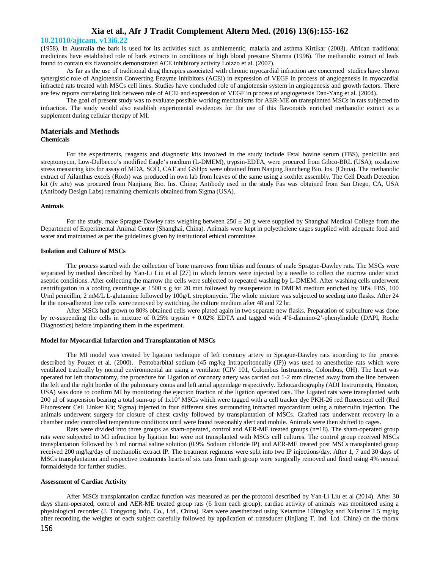#### **10.21010/ajtcam. v13i6.22**

(1958). In Australia the bark is used for its activities such as anthlementic, malaria and asthma Kirtikar (2003). African traditional medicines have established role of bark extracts in conditions of high blood pressure Sharma (1996). The methanolic extract of leafs found to contain six flavonoids demonstrated ACE inhibitory activity Loizzo et al. (2007).

As far as the use of traditional drug therapies associated with chronic myocardial infraction are concerned studies have shown synergistic role of Angiotensin Converting Enzyme inhibitors (ACEi) in expression of VEGF in process of angiogenesis in myocardial infracted rats treated with MSCs cell lines. Studies have concluded role of angiotensin system in angiogenesis and growth factors. There are few reports correlating link between role of ACEi and expression of VEGF in process of angiogenesis Dan-Yang et al. (2004).

The goal of present study was to evaluate possible working mechanisms for AER-ME on transplanted MSCs in rats subjected to infraction. The study would also establish experimental evidences for the use of this flavonoids enriched methanolic extract as a supplement during cellular therapy of MI.

# **Materials and Methods**

### **Chemicals**

For the experiments, reagents and diagnostic kits involved in the study include Fetal bovine serum (FBS), penicillin and streptomycin, Low-Dulbecco's modified Eagle's medium (L-DMEM), trypsin-EDTA, were procured from Gibco-BRL (USA); oxidative stress measuring kits for assay of MDA, SOD, CAT and GSHpx were obtained from Nanjing Jiancheng Bio. Ins. (China). The methanolic extract of Ailanthus excels (Roxb) was produced in own lab from leaves of the same using a soxhlet assembly. The Cell Death Detection kit (*In situ*) was procured from Nanjiang Bio. Ins. China; Antibody used in the study Fas was obtained from San Diego, CA, USA (Antibody Design Labs) remaining chemicals obtained from Sigma (USA).

#### **Animals**

For the study, male Sprague-Dawley rats weighing between  $250 \pm 20$  g were supplied by Shanghai Medical College from the Department of Experimental Animal Center (Shanghai, China). Animals were kept in polyethelene cages supplied with adequate food and water and maintained as per the guidelines given by institutional ethical committee.

#### **Isolation and Culture of MSCs**

The process started with the collection of bone marrows from tibias and femurs of male Sprague-Dawley rats. The MSCs were separated by method described by Yan-Li Liu et al [27] in which femurs were injected by a needle to collect the marrow under strict aseptic conditions. After collecting the marrow the cells were subjected to repeated washing by L-DMEM. After washing cells underwent centrifugation in a cooling centrifuge at 1500 x g for 20 min followed by resuspension in DMEM medium enriched by 10% FBS, 100 U/ml penicillin, 2 mM/L L-glutamine followed by 100g/L streptomycin. The whole mixture was subjected to seeding into flasks. After 24 hr the non-adherent free cells were removed by switching the culture medium after 48 and 72 hr.

After MSCs had grown to 80% obtained cells were plated again in two separate new flasks. Preparation of subculture was done by re-suspending the cells in mixture of 0.25% trypsin + 0.02% EDTA and tagged with 4'6-diamino-2'-phenylindole (DAPI, Roche Diagnostics) before implanting them in the experiment.

#### **Model for Myocardial Infarction and Transplantation of MSCs**

The MI model was created by ligation technique of left coronary artery in Sprague-Dawley rats according to the process described by Pouzet et al. (2000). Pentobarbital sodium (45 mg/kg Intraperitoneally (IP)) was used to anesthetize rats which were ventilated tracheally by normal environmental air using a ventilator (CIV 101, Colombus Instruments, Colombus, OH). The heart was operated for left thoracotomy, the procedure for Ligation of coronary artery was carried out 1-2 mm directed away from the line between the left and the right border of the pulmonary conus and left atrial appendage respectively. Echocardiography (ADI Instruments, Houston, USA) was done to confirm MI by monitoring the ejection fraction of the ligation operated rats. The Ligated rats were transplanted with 200 μl of suspension bearing a total sum-up of  $1x10<sup>5</sup>$  MSCs which were tagged with a cell tracker dye PKH-26 red fluorescent cell (Red Fluorescent Cell Linker Kit; Sigma) injected in four different sites surrounding infracted myocardium using a tuberculin injection. The animals underwent surgery for closure of chest cavity followed by transplantation of MSCs. Grafted rats underwent recovery in a chamber under controlled temperature conditions until were found reasonably alert and mobile. Animals were then shifted to cages.

Rats were divided into three groups as sham-operated, control and AER-ME treated groups (n=18). The sham-operated group rats were subjected to MI infraction by ligation but were not transplanted with MSCs cell cultures. The control group received MSCs transplantation followed by 3 ml normal saline solution (0.9% Sodium chloride IP) and AER-ME treated post MSCs transplanted group received 200 mg/kg/day of methanolic extract IP. The treatment regimens were split into two IP injections/day. After 1, 7 and 30 days of MSCs transplantation and respective treatments hearts of six rats from each group were surgically removed and fixed using 4% neutral formaldehyde for further studies.

#### **Assessment of Cardiac Activity**

After MSCs transplantation cardiac function was measured as per the protocol described by Yan-Li Liu et al (2014). After 30 days sham-operated, control and AER-ME treated group rats (6 from each group); cardiac activity of animals was monitored using a physiological recorder (J. Tongyong Indu. Co., Ltd., China). Rats were anesthetized using Ketamine 100mg/kg and Xulazine 1.5 mg/kg after recording the weights of each subject carefully followed by application of transducer (Jinjiang T. Ind. Ltd. China) on the thorax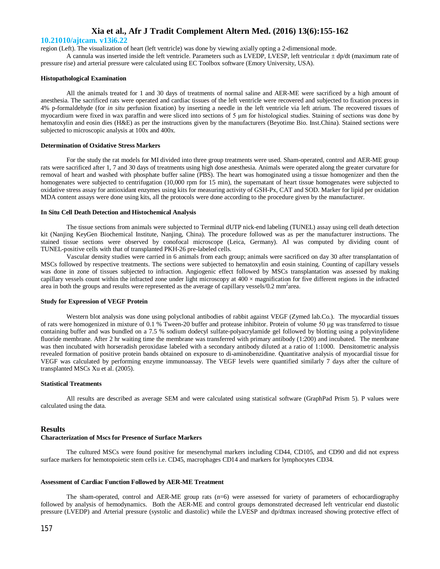#### **10.21010/ajtcam. v13i6.22**

region (Left). The visualization of heart (left ventricle) was done by viewing axially opting a 2-dimensional mode.

A cannula was inserted inside the left ventricle. Parameters such as LVEDP, LVESP, left ventricular  $\pm$  dp/dt (maximum rate of pressure rise) and arterial pressure were calculated using EC Toolbox software (Emory University, USA).

#### **Histopathological Examination**

All the animals treated for 1 and 30 days of treatments of normal saline and AER-ME were sacrificed by a high amount of anesthesia. The sacrificed rats were operated and cardiac tissues of the left ventricle were recovered and subjected to fixation process in 4% p-formaldehyde (for *in situ* perfusion fixation) by inserting a needle in the left ventricle via left atrium. The recovered tissues of myocardium were fixed in wax paraffin and were sliced into sections of 5 μm for histological studies. Staining of sections was done by hematoxylin and eosin dies (H&E) as per the instructions given by the manufacturers (Beyotime Bio. Inst.China). Stained sections were subjected to microscopic analysis at 100x and 400x.

#### **Determination of Oxidative Stress Markers**

For the study the rat models for MI divided into three group treatments were used. Sham-operated, control and AER-ME group rats were sacrificed after 1, 7 and 30 days of treatments using high dose anesthesia. Animals were operated along the greater curvature for removal of heart and washed with phosphate buffer saline (PBS). The heart was homoginated using a tissue homogenizer and then the homogenates were subjected to centrifugation (10,000 rpm for 15 min), the supernatant of heart tissue homogenates were subjected to oxidative stress assay for antioxidant enzymes using kits for measuring activity of GSH-Px, CAT and SOD. Marker for lipid per oxidation MDA content assays were done using kits, all the protocols were done according to the procedure given by the manufacturer.

#### **In Situ Cell Death Detection and Histochemical Analysis**

The tissue sections from animals were subjected to Terminal dUTP nick-end labeling (TUNEL) assay using cell death detection kit (Nanjing KeyGen Biochemical Institute, Nanjing, China). The procedure followed was as per the manufacturer instructions. The stained tissue sections were observed by conofocal microscope (Leica, Germany). AI was computed by dividing count of TUNEL-positive cells with that of transplanted PKH-26 pre-labeled cells.

Vascular density studies were carried in 6 animals from each group; animals were sacrificed on day 30 after transplantation of MSCs followed by respective treatments. The sections were subjected to hematoxylin and eosin staining. Counting of capillary vessels was done in zone of tissues subjected to infraction. Angiogenic effect followed by MSCs transplantation was assessed by making capillary vessels count within the infracted zone under light microscopy at  $400 \times$  magnification for five different regions in the infracted area in both the groups and results were represented as the average of capillary vessels/0.2 mm<sup>2</sup>area.

#### **Study for Expression of VEGF Protein**

Western blot analysis was done using polyclonal antibodies of rabbit against VEGF (Zymed lab.Co.). The myocardial tissues of rats were homogenized in mixture of 0.1 % Tween-20 buffer and protease inhibitor. Protein of volume 50 μg was transferred to tissue containing buffer and was bundled on a 7.5 % sodium dodecyl sulfate-polyacrylamide gel followed by blotting using a polyvinylidene fluoride membrane. After 2 hr waiting time the membrane was transferred with primary antibody (1:200) and incubated. The membrane was then incubated with horseradish peroxidase labeled with a secondary antibody diluted at a ratio of 1:1000. Densitometric analysis revealed formation of positive protein bands obtained on exposure to di-aminobenzidine. Quantitative analysis of myocardial tissue for VEGF was calculated by performing enzyme immunoassay. The VEGF levels were quantified similarly 7 days after the culture of transplanted MSCs Xu et al. (2005).

#### **Statistical Treatments**

All results are described as average SEM and were calculated using statistical software (GraphPad Prism 5). P values were calculated using the data.

## **Results**

#### **Characterization of Mscs for Presence of Surface Markers**

The cultured MSCs were found positive for mesenchymal markers including CD44, CD105, and CD90 and did not express surface markers for hemotopoietic stem cells i.e. CD45, macrophages CD14 and markers for lymphocytes CD34.

#### **Assessment of Cardiac Function Followed by AER-ME Treatment**

The sham-operated, control and AER-ME group rats (n=6) were assessed for variety of parameters of echocardiography followed by analysis of hemodynamics. Both the AER-ME and control groups demonstrated decreased left ventricular end diastolic pressure (LVEDP) and Arterial pressure (systolic and diastolic) while the LVESP and dp/dtmax increased showing protective effect of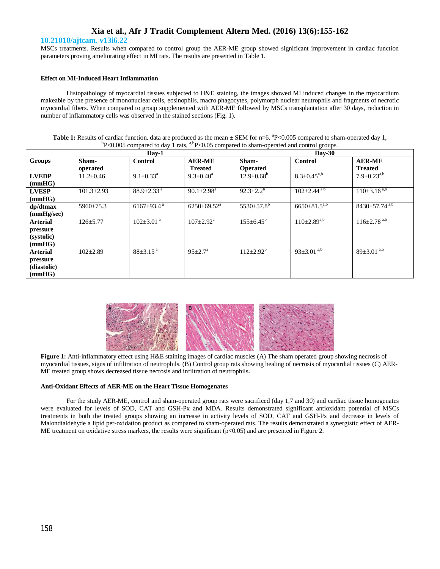### **10.21010/ajtcam. v13i6.22**

MSCs treatments. Results when compared to control group the AER-ME group showed significant improvement in cardiac function parameters proving ameliorating effect in MI rats. The results are presented in Table 1.

## **Effect on MI-Induced Heart Inflammation**

Histopathology of myocardial tissues subjected to H&E staining, the images showed MI induced changes in the myocardium makeable by the presence of mononuclear cells, eosinophils, macro phagocytes, polymorph nuclear neutrophils and fragments of necrotic myocardial fibers. When compared to group supplemented with AER-ME followed by MSCs transplantation after 30 days, reduction in number of inflammatory cells was observed in the stained sections (Fig. 1).

Table 1: Results of cardiac function, data are produced as the mean  $\pm$  SEM for n=6. <sup>a</sup>P<0.005 compared to sham-operated day 1,  $\rm ^bP<0.005$  compared to day 1 rats,  $\rm ^{a,b}P<0.05$  compared to sham-operated and control groups.

|                 | $Dav-1$         |                              |                             | $Day-30$                |                       |                                 |
|-----------------|-----------------|------------------------------|-----------------------------|-------------------------|-----------------------|---------------------------------|
| Groups          | Sham-           | <b>Control</b>               | <b>AER-ME</b>               | Sham-                   | Control               | <b>AER-ME</b>                   |
|                 | operated        |                              | <b>Treated</b>              | <b>Operated</b>         |                       | <b>Treated</b>                  |
| <b>LVEDP</b>    | $11.2 \pm 0.46$ | $9.1 \pm 0.33$ <sup>a</sup>  | $9.3 \pm 0.40^{\circ}$      | $12.9 \pm 0.68^b$       | $8.3 \pm 0.45^{a,b}$  | $7.9 \pm 0.23^{a,b}$            |
| (mmHG)          |                 |                              |                             |                         |                       |                                 |
| <b>LVESP</b>    | $101.3 + 2.93$  | $88.9 + 2.33$ <sup>a</sup>   | $90.1 \pm 2.98^{\text{a}}$  | $92.3 \pm 2.2^b$        | $102 \pm 2.44^{a,b}$  | $110\pm3.16^{a,b}$              |
| (mmHG)          |                 |                              |                             |                         |                       |                                 |
| $dp/dt$ max     | $5960 \pm 75.3$ | $6167 \pm 93.4$ <sup>a</sup> | $6250 \pm 69.52^{\text{a}}$ | $5530 \pm 57.8^{\circ}$ | $6650 \pm 81.5^{a,b}$ | $8430 \pm 57.74$ <sup>a,b</sup> |
| (mmHg/sec)      |                 |                              |                             |                         |                       |                                 |
| <b>Arterial</b> | $126 + 5.77$    | $102 \pm 3.01$ <sup>a</sup>  | $107 + 2.92^{\text{a}}$     | $155 \pm 6.45^{\circ}$  | $110 \pm 2.89^{a,b}$  | $116 \pm 2.78^{a,b}$            |
| pressure        |                 |                              |                             |                         |                       |                                 |
| (systolic)      |                 |                              |                             |                         |                       |                                 |
| (mmHG)          |                 |                              |                             |                         |                       |                                 |
| <b>Arterial</b> | $102 \pm 2.89$  | $88 \pm 3.15$ <sup>a</sup>   | $95 \pm 2.7^{\circ}$        | $112 \pm 2.92^b$        | $93 \pm 3.01^{a,b}$   | $89 \pm 3.01^{a,b}$             |
| pressure        |                 |                              |                             |                         |                       |                                 |
| (diastolic)     |                 |                              |                             |                         |                       |                                 |
| (mmHG)          |                 |                              |                             |                         |                       |                                 |



**Figure 1:** Anti-inflammatory effect using H&E staining images of cardiac muscles (A) The sham operated group showing necrosis of myocardial tissues, signs of infiltration of neutrophils. (B) Control group rats showing healing of necrosis of myocardial tissues (C) AER-ME treated group shows decreased tissue necrosis and infiltration of neutrophils**.**

## **Anti-Oxidant Effects of AER-ME on the Heart Tissue Homogenates**

For the study AER-ME, control and sham-operated group rats were sacrificed (day 1,7 and 30) and cardiac tissue homogenates were evaluated for levels of SOD, CAT and GSH-Px and MDA. Results demonstrated significant antioxidant potential of MSCs treatments in both the treated groups showing an increase in activity levels of SOD, CAT and GSH-Px and decrease in levels of Malondialdehyde a lipid per-oxidation product as compared to sham-operated rats. The results demonstrated a synergistic effect of AER-ME treatment on oxidative stress markers, the results were significant  $(p<0.05)$  and are presented in Figure 2.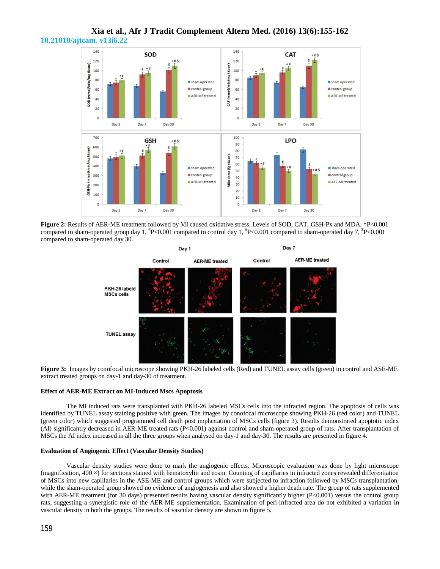

**Xia et al., Afr J Tradit Complement Altern Med. (2016) 13(6):155-162 10.21010/ajtcam. v13i6.22**

**Figure 2:** Results of AER-ME treatment followed by MI caused oxidative stress. Levels of SOD, CAT, GSH-Px and MDA. \*P<0.001 compared to sham-operated group day 1,  $P<0.001$  compared to control day 1,  $P<0.001$  compared to sham-operated day 7,  $P<0.001$ compared to sham-operated day 30.



**Figure 3:** Images by conofocal microscope showing PKH-26 labeled cells (Red) and TUNEL assay cells (green) in control and ASE-ME extract treated groups on day-1 and day-30 of treatment.

#### **Effect of AER-ME Extract on MI-Induced Mscs Apoptosis**

The MI induced rats were transplanted with PKH-26 labeled MSCs cells into the infracted region. The apoptosis of cells was identified by TUNEL assay staining positive with green. The images by conofocal microscope showing PKH-26 (red color) and TUNEL (green color) which suggested programmed cell death post implantation of MSCs cells (figure 3). Results demonstrated apoptotic index (AI) significantly decreased in AER-ME treated rats (P<0.001) against control and sham-operated group of rats. After transplantation of MSCs the AI index increased in all the three groups when analysed on day-1 and day-30. The results are presented in figure 4.

#### **Evaluation of Angiogenic Effect (Vascular Density Studies)**

Vascular density studies were done to mark the angiogenic effects. Microscopic evaluation was done by light microscope (magnification,  $400 \times$ ) for sections stained with hematoxylin and eosin. Counting of capillaries in infracted zones revealed differentiation of MSCs into new capillaries in the ASE-ME and control groups which were subjected to infraction followed by MSCs transplantation, while the sham-operated group showed no evidence of angiogenesis and also showed a higher death rate. The group of rats supplemented with AER-ME treatment (for 30 days) presented results having vascular density significantly higher (P<0.001) versus the control group rats, suggesting a synergistic role of the AER-ME supplementation. Examination of peri-infracted area do not exhibited a variation in vascular density in both the groups. The results of vascular density are shown in figure 5.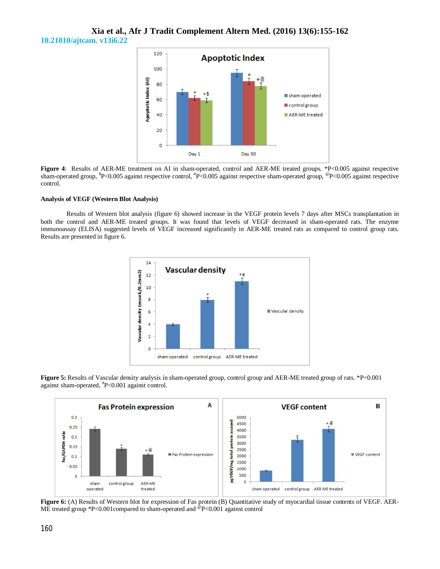# **Xia et al., Afr J Tradit Complement Altern Med. (2016) 13(6):155-162 10.21010/ajtcam. v13i6.22**



**Figure 4:** Results of AER-ME treatment on AI in sham-operated, control and AER-ME treated groups. \*P<0.005 against respective sham-operated group, <sup>\$</sup>P<0.005 against respective control, <sup>#</sup>P<0.005 against respective sham-operated group, <sup>@</sup>P<0.005 against respective control.

#### **Analysis of VEGF (Western Blot Analysis)**

Results of Western blot analysis (figure 6) showed increase in the VEGF protein levels 7 days after MSCs transplantation in both the control and AER-ME treated groups. It was found that levels of VEGF decreased in sham-operated rats. The enzyme immunoassay (ELISA) suggested levels of VEGF increased significantly in AER-ME treated rats as compared to control group rats. Results are presented in figure 6.







**Figure 6:** (A) Results of Western blot for expression of Fas protein (B) Quantitative study of myocardial tissue contents of VEGF. AER-ME treated group \*P<0.001compared to sham-operated and <sup>@</sup>P<0.001 against control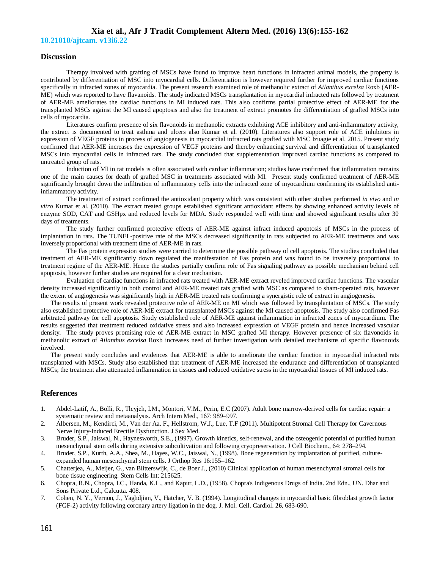**10.21010/ajtcam. v13i6.22**

## **Discussion**

Therapy involved with grafting of MSCs have found to improve heart functions in infracted animal models, the property is contributed by differentiation of MSC into myocardial cells. Differentiation is however required further for improved cardiac functions specifically in infracted zones of myocardia. The present research examined role of methanolic extract of *Ailanthus excelsa* Roxb (AER-ME) which was reported to have flavanoids. The study indicated MSCs transplantation in myocardial infracted rats followed by treatment of AER-ME ameliorates the cardiac functions in MI induced rats. This also confirms partial protective effect of AER-ME for the transplanted MSCs against the MI caused apoptosis and also the treatment of extract promotes the differentiation of grafted MSCs into cells of myocardia.

Literatures confirm presence of six flavonoids in methanolic extracts exhibiting ACE inhibitory and anti-inflammatory activity, the extract is documented to treat asthma and ulcers also Kumar et al. (2010). Literatures also support role of ACE inhibitors in expression of VEGF proteins in process of angiogenesis in myocardial infracted rats grafted with MSC Izuagie et al. 2015. Present study confirmed that AER-ME increases the expression of VEGF proteins and thereby enhancing survival and differentiation of transplanted MSCs into myocardial cells in infracted rats. The study concluded that supplementation improved cardiac functions as compared to untreated group of rats.

Induction of MI in rat models is often associated with cardiac inflammation; studies have confirmed that inflammation remains one of the main causes for death of grafted MSC in treatments associated with MI. Present study confirmed treatment of AER-ME significantly brought down the infiltration of inflammatory cells into the infracted zone of myocardium confirming its established antiinflammatory activity.

The treatment of extract confirmed the antioxidant property which was consistent with other studies performed *in vivo* and *in vitro* Kumar et al. (2010). The extract treated groups established significant antioxidant effects by showing enhanced activity levels of enzyme SOD, CAT and GSHpx and reduced levels for MDA. Study responded well with time and showed significant results after 30 days of treatments.

The study further confirmed protective effects of AER-ME against infract induced apoptosis of MSCs in the process of implantation in rats. The TUNEL-positive rate of the MSCs decreased significantly in rats subjected to AER-ME treatments and was inversely proportional with treatment time of AER-ME in rats.

The Fas protein expression studies were carried to determine the possible pathway of cell apoptosis. The studies concluded that treatment of AER-ME significantly down regulated the manifestation of Fas protein and was found to be inversely proportional to treatment regime of the AER-ME. Hence the studies partially confirm role of Fas signaling pathway as possible mechanism behind cell apoptosis, however further studies are required for a clear mechanism.

Evaluation of cardiac functions in infracted rats treated with AER-ME extract reveled improved cardiac functions. The vascular density increased significantly in both control and AER-ME treated rats grafted with MSC as compared to sham-operated rats, however the extent of angiogenesis was significantly high in AER-ME treated rats confirming a synergistic role of extract in angiogenesis.

The results of present work revealed protective role of AER-ME on MI which was followed by transplantation of MSCs. The study also established protective role of AER-ME extract for transplanted MSCs against the MI caused apoptosis. The study also confirmed Fas arbitrated pathway for cell apoptosis. Study established role of AER-ME against inflammation in infracted zones of myocardium. The results suggested that treatment reduced oxidative stress and also increased expression of VEGF protein and hence increased vascular density. The study proves promising role of AER-ME extract in MSC grafted MI therapy. However presence of six flavonoids in methanolic extract of *Ailanthus excelsa* Roxb increases need of further investigation with detailed mechanisms of specific flavonoids involved.

The present study concludes and evidences that AER-ME is able to ameliorate the cardiac function in myocardial infracted rats transplanted with MSCs. Study also established that treatment of AER-ME increased the endurance and differentiation of transplanted MSCs; the treatment also attenuated inflammation in tissues and reduced oxidative stress in the myocardial tissues of MI induced rats.

# **References**

- 1. Abdel-Latif, A., Bolli, R., Tleyjeh, I.M., Montori, V.M., Perin, E.C (2007). Adult bone marrow-derived cells for cardiac repair: a systematic review and metaanalysis. Arch Intern Med., 167: 989–997.
- 2. Albersen, M., Kendirci, M., Van der Aa. F., Hellstrom, W.J., Lue, T.F (2011). Multipotent Stromal Cell Therapy for Cavernous Nerve Injury-Induced Erectile Dysfunction. J Sex Med.
- 3. Bruder, S.P., Jaiswal, N., Haynesworth, S.E., (1997). Growth kinetics, self-renewal, and the osteogenic potential of purified human mesenchymal stem cells during extensive subcultivation and following cryopreservation. J Cell Biochem., 64: 278–294.
- 4. Bruder, S.P., Kurth, A.A., Shea, M., Hayes, W.C., Jaiswal, N., (1998). Bone regeneration by implantation of purified, cultureexpanded human mesenchymal stem cells. J Orthop Res 16:155–162.
- 5. Chatterjea, A., Meijer, G., van Blitterswijk, C., de Boer J., (2010) Clinical application of human mesenchymal stromal cells for bone tissue engineering. Stem Cells Int: 215625.
- 6. Chopra, R.N., Chopra, I.C., Handa, K.L., and Kapur, L.D., (1958). Chopra's Indigenous Drugs of India. 2nd Edn., UN. Dhar and Sons Private Ltd., Calcutta. 408.
- 7. Cohen, N. Y., Vernon, J., Yaghdjian, V., Hatcher, V. B. (1994). Longitudinal changes in myocardial basic fibroblast growth factor (FGF-2) activity following coronary artery ligation in the dog. J. Mol. Cell. Cardiol. **26**, 683-690.